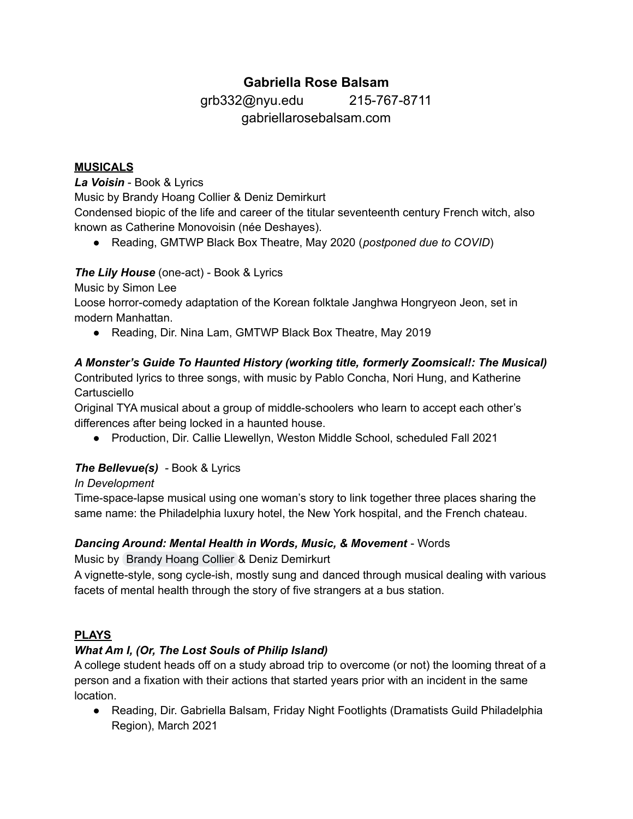# **Gabriella Rose Balsam**

# grb332@nyu.edu 215-767-8711 gabriellarosebalsam.com

## **MUSICALS**

*La Voisin* - Book & Lyrics

Music by Brandy Hoang Collier & Deniz Demirkurt

Condensed biopic of the life and career of the titular seventeenth century French witch, also known as Catherine Monovoisin (née Deshayes).

● Reading, GMTWP Black Box Theatre, May 2020 (*postponed due to COVID*)

## *The Lily House* (one-act) - Book & Lyrics

Music by Simon Lee

Loose horror-comedy adaptation of the Korean folktale Janghwa Hongryeon Jeon, set in modern Manhattan.

● Reading, Dir. Nina Lam, GMTWP Black Box Theatre, May 2019

# *A Monster's Guide To Haunted History (working title, formerly Zoomsical!: The Musical)*

Contributed lyrics to three songs, with music by Pablo Concha, Nori Hung, and Katherine **Cartusciello** 

Original TYA musical about a group of middle-schoolers who learn to accept each other's differences after being locked in a haunted house.

● Production, Dir. Callie Llewellyn, Weston Middle School, scheduled Fall 2021

# *The Bellevue(s) -* Book & Lyrics

### *In Development*

Time-space-lapse musical using one woman's story to link together three places sharing the same name: the Philadelphia luxury hotel, the New York hospital, and the French chateau.

### *Dancing Around: Mental Health in Words, Music, & Movement* - Words

Music by [Brandy](mailto:hoang.collier@gmail.com) Hoang Collier & Deniz Demirkurt

A vignette-style, song cycle-ish, mostly sung and danced through musical dealing with various facets of mental health through the story of five strangers at a bus station.

# **PLAYS**

# *What Am I, (Or, The Lost Souls of Philip Island)*

A college student heads off on a study abroad trip to overcome (or not) the looming threat of a person and a fixation with their actions that started years prior with an incident in the same location.

● Reading, Dir. Gabriella Balsam, Friday Night Footlights (Dramatists Guild Philadelphia Region), March 2021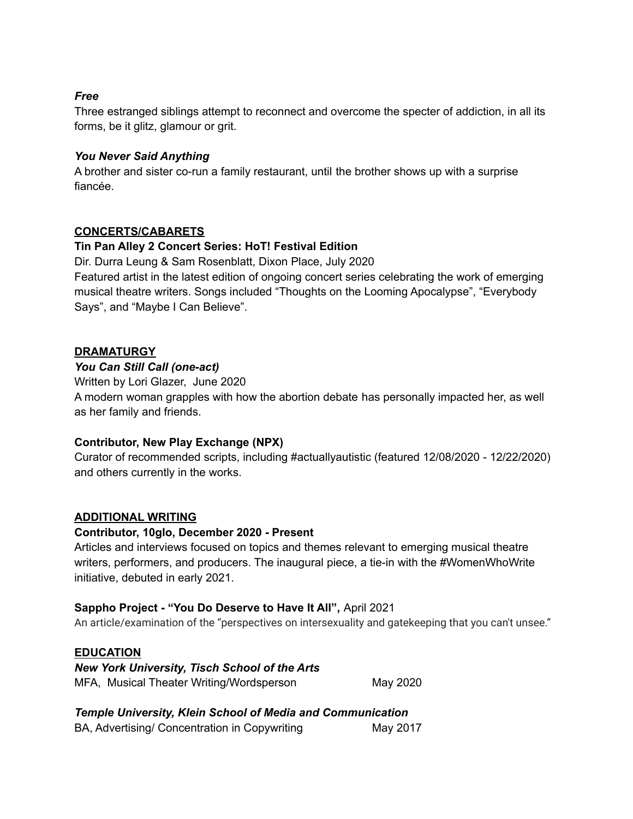### *Free*

Three estranged siblings attempt to reconnect and overcome the specter of addiction, in all its forms, be it glitz, glamour or grit.

#### *You Never Said Anything*

A brother and sister co-run a family restaurant, until the brother shows up with a surprise fiancée.

### **CONCERTS/CABARETS**

### **Tin Pan Alley 2 Concert Series: HoT! Festival Edition**

Dir. Durra Leung & Sam Rosenblatt, Dixon Place, July 2020

Featured artist in the latest edition of ongoing concert series celebrating the work of emerging musical theatre writers. Songs included "Thoughts on the Looming Apocalypse", "Everybody Says", and "Maybe I Can Believe".

### **DRAMATURGY**

### *You Can Still Call (one-act)*

Written by Lori Glazer, June 2020

A modern woman grapples with how the abortion debate has personally impacted her, as well as her family and friends.

#### **Contributor, New Play Exchange (NPX)**

Curator of recommended scripts, including #actuallyautistic (featured 12/08/2020 - 12/22/2020) and others currently in the works.

#### **ADDITIONAL WRITING**

#### **Contributor, 10glo, December 2020 - Present**

Articles and interviews focused on topics and themes relevant to emerging musical theatre writers, performers, and producers. The inaugural piece, a tie-in with the #WomenWhoWrite initiative, debuted in early 2021.

### **Sappho Project - "You Do Deserve to Have It All",** April 2021

An article/examination of the "perspectives on intersexuality and gatekeeping that you can't unsee."

#### **EDUCATION**

*New York University, Tisch School of the Arts* MFA, Musical Theater Writing/Wordsperson May 2020

*Temple University, Klein School of Media and Communication*

BA, Advertising/ Concentration in Copywriting May 2017